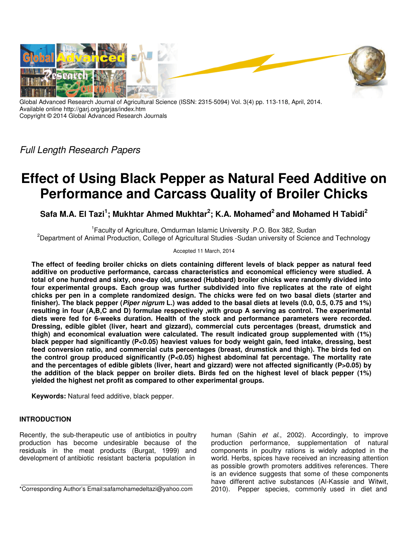

Global Advanced Research Journal of Agricultural Science (ISSN: 2315-5094) Vol. 3(4) pp. 113-118, April, 2014. Available online http://garj.org/garjas/index.htm Copyright © 2014 Global Advanced Research Journals

Full Length Research Papers

# **Effect of Using Black Pepper as Natural Feed Additive on Performance and Carcass Quality of Broiler Chicks**

**Safa M.A. El Tazi<sup>1</sup> ; Mukhtar Ahmed Mukhtar<sup>2</sup> ; K.A. Mohamed<sup>2</sup>and Mohamed H Tabidi<sup>2</sup>**

<sup>1</sup> Faculty of Agriculture, Omdurman Islamic University .P.O. Box 382, Sudan <sup>2</sup>Department of Animal Production, College of Agricultural Studies -Sudan university of Science and Technology

Accepted 11 March, 2014

**The effect of feeding broiler chicks on diets containing different levels of black pepper as natural feed additive on productive performance, carcass characteristics and economical efficiency were studied. A total of one hundred and sixty, one-day old, unsexed (Hubbard) broiler chicks were randomly divided into four experimental groups. Each group was further subdivided into five replicates at the rate of eight chicks per pen in a complete randomized design. The chicks were fed on two basal diets (starter and finisher). The black pepper (Piper nigrum L.) was added to the basal diets at levels (0.0, 0.5, 0.75 and 1%) resulting in four (A,B,C and D) formulae respectively ,with group A serving as control. The experimental diets were fed for 6-weeks duration. Health of the stock and performance parameters were recorded. Dressing, edible giblet (liver, heart and gizzard), commercial cuts percentages (breast, drumstick and thigh) and economical evaluation were calculated. The result indicated group supplemented with (1%) black pepper had significantly (P<0.05) heaviest values for body weight gain, feed intake, dressing, best feed conversion ratio, and commercial cuts percentages (breast, drumstick and thigh). The birds fed on the control group produced significantly (P<0.05) highest abdominal fat percentage. The mortality rate and the percentages of edible giblets (liver, heart and gizzard) were not affected significantly (P>0.05) by the addition of the black pepper on broiler diets. Birds fed on the highest level of black pepper (1%) yielded the highest net profit as compared to other experimental groups.** 

**Keywords:** Natural feed additive, black pepper.

# **INTRODUCTION**

Recently, the sub-therapeutic use of antibiotics in poultry production has become undesirable because of the residuals in the meat products (Burgat, 1999) and development of antibiotic resistant bacteria population in

\*Corresponding Author's Email:safamohamedeltazi@yahoo.com

human (Sahin et al., 2002). Accordingly, to improve production performance, supplementation of natural components in poultry rations is widely adopted in the world. Herbs, spices have received an increasing attention as possible growth promoters additives references. There is an evidence suggests that some of these components have different active substances (Al-Kassie and Witwit, 2010). Pepper species, commonly used in diet and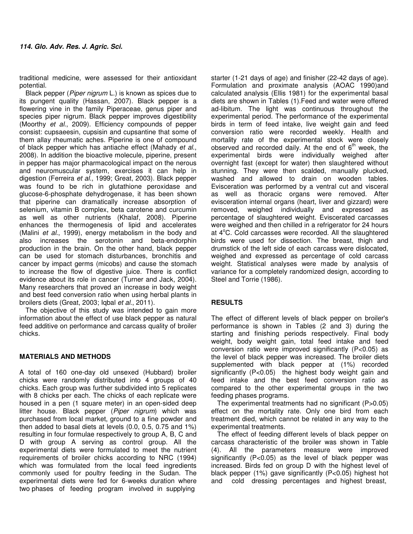traditional medicine, were assessed for their antioxidant potential.

Black pepper (Piper nigrum L.) is known as spices due to its pungent quality (Hassan, 2007). Black pepper is a flowering vine in the family Piperaceae, genus piper and species piper nigrum. Black pepper improves digestibility (Moorthy et al., 2009). Efficiency compounds of pepper consist: cupsaeesin, cupsisin and cupsantine that some of them allay rheumatic aches. Piperine is one of compound of black pepper which has antiache effect (Mahady et al., 2008). In addition the bioactive molecule, piperine, present in pepper has major pharmacological impact on the nerous and neuromuscular system, exercises it can help in digestion (Ferreira et al., 1999; Great, 2003). Black pepper was found to be rich in glutathione peroxidase and glucose-6-phosphate dehydrogenase, it has been shown that piperine can dramatically increase absorption of selenium, vitamin B complex, beta carotene and curcumin as well as other nutrients (Khalaf, 2008). Piperine enhances the thermogenesis of lipid and accelerates (Malini et al., 1999), energy metabolism in the body and also increases the serotonin and beta-endorphin production in the brain. On the other hand, black pepper can be used for stomach disturbances, bronchitis and cancer by impact germs (micobs) and cause the stomach to increase the flow of digestive juice. There is conflict evidence about its role in cancer (Turner and Jack, 2004). Many researchers that proved an increase in body weight and best feed conversion ratio when using herbal plants in broilers diets (Great, 2003; Igbal et al., 2011).

The objective of this study was intended to gain more information about the effect of use black pepper as natural feed additive on performance and carcass quality of broiler chicks.

## **MATERIALS AND METHODS**

A total of 160 one-day old unsexed (Hubbard) broiler chicks were randomly distributed into 4 groups of 40 chicks. Each group was further subdivided into 5 replicates with 8 chicks per each. The chicks of each replicate were housed in a pen (1 square meter) in an open-sided deep litter house. Black pepper (Piper nigrum) which was purchased from local market, ground to a fine powder and then added to basal diets at levels (0.0, 0.5, 0.75 and 1%) resulting in four formulae respectively to group A, B, C and D with group A serving as control group. All the experimental diets were formulated to meet the nutrient requirements of broiler chicks according to NRC (1994) which was formulated from the local feed ingredients commonly used for poultry feeding in the Sudan. The experimental diets were fed for 6-weeks duration where two phases of feeding program involved in supplying

starter (1-21 days of age) and finisher (22-42 days of age). Formulation and proximate analysis (AOAC 1990)and calculated analysis (Ellis 1981) for the experimental basal diets are shown in Tables (1).Feed and water were offered ad-libitum. The light was continuous throughout the experimental period. The performance of the experimental birds in term of feed intake, live weight gain and feed conversion ratio were recorded weekly. Health and mortality rate of the experimental stock were closely observed and recorded daily. At the end of  $6<sup>th</sup>$  week, the experimental birds were individually weighed after overnight fast (except for water) then slaughtered without stunning. They were then scalded, manually plucked, washed and allowed to drain on wooden tables. Evisceration was performed by a ventral cut and visceral as well as thoracic organs were removed. After evisceration internal organs (heart, liver and gizzard) were removed, weighed individually and expressed as percentage of slaughtered weight. Eviscerated carcasses were weighed and then chilled in a refrigerator for 24 hours at  $4^{\circ}$ C. Cold carcasses were recorded. All the slaughtered birds were used for dissection. The breast, thigh and drumstick of the left side of each carcass were dislocated, weighed and expressed as percentage of cold carcass weight. Statistical analyses were made by analysis of variance for a completely randomized design, according to Steel and Torrie (1986).

# **RESULTS**

The effect of different levels of black pepper on broiler's performance is shown in Tables (2 and 3) during the starting and finishing periods respectively. Final body weight, body weight gain, total feed intake and feed conversion ratio were improved significantly (P<0.05) as the level of black pepper was increased. The broiler diets supplemented with black pepper at (1%) recorded significantly (P<0.05) the highest body weight gain and feed intake and the best feed conversion ratio as compared to the other experimental groups in the two feeding phases programs.

The experimental treatments had no significant (P>0.05) effect on the mortality rate. Only one bird from each treatment died, which cannot be related in any way to the experimental treatments.

The effect of feeding different levels of black pepper on carcass characteristic of the broiler was shown in Table (4). All the parameters measure were improved significantly (P<0.05) as the level of black pepper was increased. Birds fed on group D with the highest level of black pepper (1%) gave significantly (P<0.05) highest hot and cold dressing percentages and highest breast,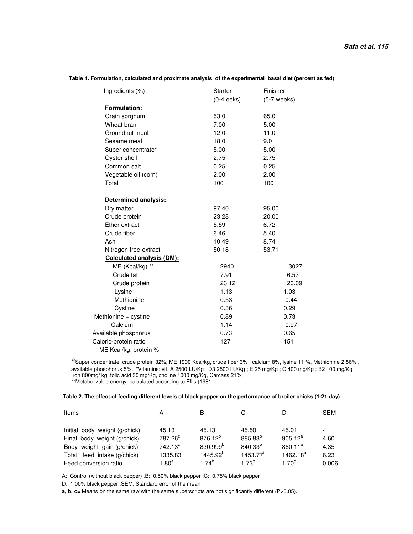| Ingredients (%)                  | Starter      | Finisher      |  |
|----------------------------------|--------------|---------------|--|
|                                  | $(0-4 eeks)$ | $(5-7$ weeks) |  |
| Formulation:                     |              |               |  |
| Grain sorghum                    | 53.0         | 65.0          |  |
| Wheat bran                       | 7.00         | 5.00          |  |
| Groundnut meal                   | 12.0         | 11.0          |  |
| Sesame meal                      | 18.0         | 9.0           |  |
| Super concentrate*               | 5.00         | 5.00          |  |
| Oyster shell                     | 2.75         | 2.75          |  |
| Common salt                      | 0.25         | 0.25          |  |
| Vegetable oil (corn)             | 2.00         | 2.00          |  |
| Total                            | 100          | 100           |  |
| <b>Determined analysis:</b>      |              |               |  |
| Dry matter                       | 97.40        | 95.00         |  |
| Crude protein                    | 23.28        | 20.00         |  |
| Ether extract                    | 5.59         | 6.72          |  |
| Crude fiber                      | 6.46         | 5.40          |  |
| Ash                              | 10.49        | 8.74          |  |
| Nitrogen free-extract            | 50.18        | 53.71         |  |
| <b>Calculated analysis (DM):</b> |              |               |  |
| ME (Kcal/kg) **                  | 2940         | 3027          |  |
| Crude fat                        | 7.91         | 6.57          |  |
| Crude protein                    | 23.12        | 20.09         |  |
| Lysine                           | 1.13         | 1.03          |  |
| Methionine                       | 0.53         | 0.44          |  |
| Cystine                          | 0.36         | 0.29          |  |
| Methionine + cystine             | 0.89         | 0.73          |  |
| Calcium                          | 1.14         | 0.97          |  |
| Available phosphorus             | 0.73         | 0.65          |  |
| Caloric-protein ratio            | 127          | 151           |  |
| ME Kcal/kg: protein %            |              |               |  |

#### **Table 1. Formulation, calculated and proximate analysis of the experimental basal diet (percent as fed)**

\*Super concentrate: crude protein 32%, ME 1900 Kcal/kg, crude fiber 3% ; calcium 8%, lysine 11 %, Methionine 2.86% , available phosphorus 5%, \*Vitamins: vit. A 2500 I.U/Kg ; D3 2500 I.U/Kg ; E 25 mg/Kg ; C 400 mg/Kg ; B2 100 mg/Kg Iron 800mg/ kg, folic acid 30 mg/Kg, choline 1000 mg/Kg, Carcass 21%. \*\*Metabolizable energy: calculated according to Ellis (1981

| Table 2. The effect of feeding different levels of black pepper on the performance of broiler chicks (1-21 day) |  |
|-----------------------------------------------------------------------------------------------------------------|--|
|-----------------------------------------------------------------------------------------------------------------|--|

| Items                         | А                   | B                    |                      | D                 | <b>SEM</b> |
|-------------------------------|---------------------|----------------------|----------------------|-------------------|------------|
|                               |                     |                      |                      |                   |            |
| Initial body weight (g/chick) | 45.13               | 45.13                | 45.50                | 45.01             |            |
| Final body weight (g/chick)   | 787.26 <sup>c</sup> | $876.12^{b}$         | 885.83 <sup>b</sup>  | $905.12^a$        | 4.60       |
| Body weight gain (g/chick)    | $742.13^{\circ}$    | 830.999 <sup>b</sup> | $840.33^{b}$         | $860.11^a$        | 4.35       |
| Total feed intake (g/chick)   | $1335.83^\circ$     | 1445.92 <sup>b</sup> | 1453.77 <sup>b</sup> | $1462.18^{a}$     | 6.23       |
| Feed conversion ratio         | 1.80 $^{\rm a}$     | $1.74^b$             | $1.73^{b}$           | 1.70 <sup>c</sup> | 0.006      |

A: Control (without black pepper) ,B: 0.50% black pepper ;C: 0.75% black pepper

D: 1.00% black pepper ,SEM: Standard error of the mean

**a, b, c=** Means on the same raw with the same superscripts are not significantly different (P>0.05).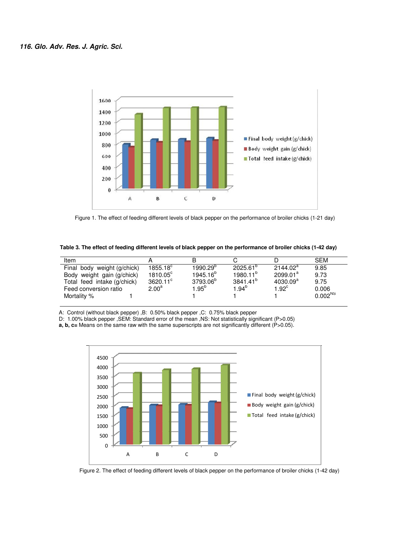

Figure 1. The effect of feeding different levels of black pepper on the performance of broiler chicks (1-21 day)

 **Table 3. The effect of feeding different levels of black pepper on the performance of broiler chicks (1-42 day)** 

| Item                        |                   |                      |                      |                      | SEM                 |
|-----------------------------|-------------------|----------------------|----------------------|----------------------|---------------------|
| Final body weight (g/chick) | $1855.18^c$       | $1990.29^{o}$        | $2025.61^{\circ}$    | $2144.02^a$          | 9.85                |
| Body weight gain (g/chick)  | $1810.05^{\circ}$ | 1945.16 <sup>b</sup> | $1980.11^{b}$        | $2099.01^a$          | 9.73                |
| Total feed intake (g/chick) | $3620.11^{\circ}$ | 3793.06 <sup>b</sup> | 3841.41 <sup>b</sup> | 4030.09 <sup>a</sup> | 9.75                |
| Feed conversion ratio       | $2.00^{\rm a}$    | l. $95^{\sf b}$      | 1.94 $^{\rm b}$      | $1.92^{\circ}$       | 0.006               |
| Mortality %                 |                   |                      |                      |                      | 0.002 <sup>NS</sup> |

A: Control (without black pepper) ,B: 0.50% black pepper ,C: 0.75% black pepper

D: 1.00% black pepper ,SEM: Standard error of the mean ,NS: Not statistically significant (P>0.05)

**a, b, c=** Means on the same raw with the same superscripts are not significantly different (P>0.05).



Figure 2. The effect of feeding different levels of black pepper on the performance of broiler chicks (1-42 day)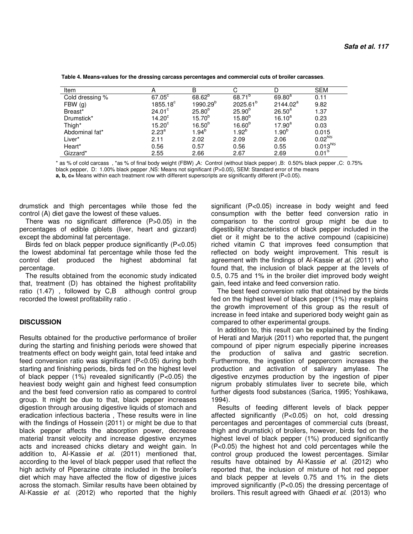| Item            | Α                  | B                    |                      |                      | <b>SEM</b>        |
|-----------------|--------------------|----------------------|----------------------|----------------------|-------------------|
| Cold dressing % | $67.05^{\circ}$    | $68.62^{b}$          | 68.71 <sup>b</sup>   | $69.80^{a}$          | 0.11              |
| FBW(g)          | $1855.18^{\circ}$  | 1990.29 <sup>b</sup> | 2025.61 <sup>b</sup> | 2144.02 <sup>a</sup> | 9.82              |
| Breast*         | 24.01 <sup>c</sup> | $25.80^{b}$          | $25.90^{b}$          | $26.50^a$            | 1.37              |
| Drumstick*      | 14.20 <sup>c</sup> | $15.70^{b}$          | $15.80^{b}$          | $16.10^{a}$          | 0.23              |
| Thigh*          | $15.20^\circ$      | $16.50^{6}$          | $16.60^{b}$          | $17.90^a$            | 0.03              |
| Abdominal fat*  | $2.23^{a}$         | $1.94^b$             | $1.92^b$             | $1.90^{b}$           | 0.015             |
| Liver*          | 2.11               | 2.02                 | 2.09                 | 2.06                 | $0.02^{NS}$       |
| Heart*          | 0.56               | 0.57                 | 0.56                 | 0.55                 | $0.013^{NS}$      |
| Gizzard*        | 2.55               | 2.66                 | 2.67                 | 2.69                 | 0.01 <sup>S</sup> |

 **Table 4. Means-values for the dressing carcass percentages and commercial cuts of broiler carcasses**.

\* as % of cold carcass , \*as % of final body weight (FBW) **,**A: Control (without black pepper) ,B: 0.50% black pepper ,C: 0.75% black pepper, D: 1.00% black pepper ,NS: Means not significant (P>0.05), SEM: Standard error of the means

**a, b, c=** Means within each treatment row with different superscripts are significantly different (P<0.05).

drumstick and thigh percentages while those fed the control (A) diet gave the lowest of these values.

There was no significant difference (P>0.05) in the percentages of edible giblets (liver, heart and gizzard) except the abdominal fat percentage.

Birds fed on black pepper produce significantly (P<0.05) the lowest abdominal fat percentage while those fed the control diet produced the highest abdominal fat percentage.

The results obtained from the economic study indicated that, treatment (D) has obtained the highest profitability ratio (1.47) , followed by C,B although control group recorded the lowest profitability ratio .

## **DISCUSSION**

Results obtained for the productive performance of broiler during the starting and finishing periods were showed that treatments effect on body weight gain, total feed intake and feed conversion ratio was significant (P<0.05) during both starting and finishing periods, birds fed on the highest level of black pepper (1%) revealed significantly (P<0.05) the heaviest body weight gain and highest feed consumption and the best feed conversion ratio as compared to control group. It might be due to that, black pepper increases digestion through arousing digestive liquids of stomach and eradication infectious bacteria , These results were in line with the findings of Hossein (2011) or might be due to that black pepper affects the absorption power, decrease material transit velocity and increase digestive enzymes acts and increased chicks dietary and weight gain. In addition to, Al-Kassie et al. (2011) mentioned that, according to the level of black pepper used that reflect the high activity of Piperazine citrate included in the broiler's diet which may have affected the flow of digestive juices across the stomach. Similar results have been obtained by Al-Kassie et al. (2012) who reported that the highly

significant (P<0.05) increase in body weight and feed consumption with the better feed conversion ratio in comparison to the control group might be due to digestibility characteristics of black pepper included in the diet or it might be to the active compound (capisicine) riched vitamin C that improves feed consumption that reflected on body weight improvement. This result is agreement with the findings of Al-Kassie et al. (2011) who found that, the inclusion of black pepper at the levels of 0.5, 0.75 and 1% in the broiler diet improved body weight gain, feed intake and feed conversion ratio.

The best feed conversion ratio that obtained by the birds fed on the highest level of black pepper (1%) may explains the growth improvement of this group as the result of increase in feed intake and superiored body weight gain as compared to other experimental groups.

In addition to, this result can be explained by the finding of Herati and Marjuk (2011) who reported that, the pungent compound of piper nigrum especially piperine increases the production of saliva and gastric secretion. Furthermore, the ingestion of peppercorn increases the production and activation of salivary amylase. The digestive enzymes production by the ingestion of piper nigrum probably stimulates liver to secrete bile, which further digests food substances (Sarica, 1995; Yoshikawa, 1994).

Results of feeding different levels of black pepper affected significantly (P<0.05) on hot, cold dressing percentages and percentages of commercial cuts (breast, thigh and drumstick) of broilers, however, birds fed on the highest level of black pepper (1%) produced significantly (P<0.05) the highest hot and cold percentages while the control group produced the lowest percentages. Similar results have obtained by Al-Kassie et al. (2012) who reported that, the inclusion of mixture of hot red pepper and black pepper at levels 0.75 and 1% in the diets improved significantly (P<0.05) the dressing percentage of broilers. This result agreed with Ghaedi et al. (2013) who